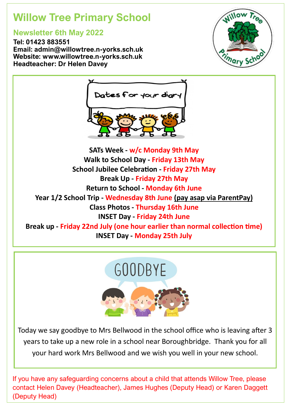# **Willow Tree Primary School**

# **Newsletter 6th May 2022**

**Tel: 01423 883551 Email: admin@willowtree.n-yorks.sch.uk Website: www.willowtree.n-yorks.sch.uk Headteacher: Dr Helen Davey**





**SATs Week - w/c Monday 9th May Walk to School Day - Friday 13th May School Jubilee Celebration - Friday 27th May Break Up - Friday 27th May Return to School - Monday 6th June Year 1/2 School Trip - Wednesday 8th June (pay asap via ParentPay) Class Photos - Thursday 16th June INSET Day - Friday 24th June Break up - Friday 22nd July (one hour earlier than normal collection time) INSET Day - Monday 25th July**



Today we say goodbye to Mrs Bellwood in the school office who is leaving after 3 years to take up a new role in a school near Boroughbridge. Thank you for all your hard work Mrs Bellwood and we wish you well in your new school.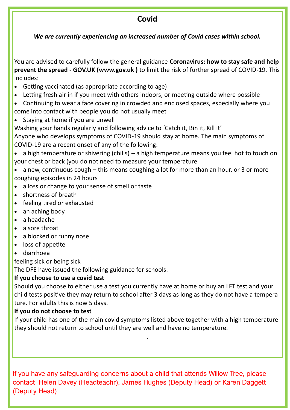## **Covid**

*We are currently experiencing an increased number of Covid cases within school.* 

You are advised to carefully follow the general guidance **Coronavirus: how to stay safe and help prevent the spread - GOV.UK ([www.gov.uk](http://www.gov.uk/) )** to limit the risk of further spread of COVID-19. This includes:

- Getting vaccinated (as appropriate according to age)
- Letting fresh air in if you meet with others indoors, or meeting outside where possible
- Continuing to wear a face covering in crowded and enclosed spaces, especially where you come into contact with people you do not usually meet
- Staying at home if you are unwell

Washing your hands regularly and following advice to 'Catch it, Bin it, Kill it'

Anyone who develops symptoms of COVID-19 should stay at home. The main symptoms of COVID-19 are a recent onset of any of the following:

• a high temperature or shivering (chills) – a high temperature means you feel hot to touch on your chest or back (you do not need to measure your temperature

• a new, continuous cough – this means coughing a lot for more than an hour, or 3 or more coughing episodes in 24 hours

- a loss or change to your sense of smell or taste
- shortness of breath
- feeling tired or exhausted
- an aching body
- a headache
- a sore throat
- a blocked or runny nose
- loss of appetite
- diarrhoea

feeling sick or being sick

The DFE have issued the following guidance for schools.

#### **If you choose to use a covid test**

Should you choose to either use a test you currently have at home or buy an LFT test and your child tests positive they may return to school after 3 days as long as they do not have a temperature. For adults this is now 5 days.

#### **If you do not choose to test**

If your child has one of the main covid symptoms listed above together with a high temperature they should not return to school until they are well and have no temperature.

.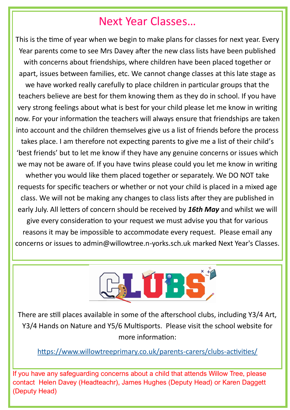# Next Year Classes…

This is the time of year when we begin to make plans for classes for next year. Every Year parents come to see Mrs Davey after the new class lists have been published with concerns about friendships, where children have been placed together or apart, issues between families, etc. We cannot change classes at this late stage as we have worked really carefully to place children in particular groups that the teachers believe are best for them knowing them as they do in school. If you have very strong feelings about what is best for your child please let me know in writing now. For your information the teachers will always ensure that friendships are taken into account and the children themselves give us a list of friends before the process takes place. I am therefore not expecting parents to give me a list of their child's 'best friends' but to let me know if they have any genuine concerns or issues which we may not be aware of. If you have twins please could you let me know in writing whether you would like them placed together or separately. We DO NOT take requests for specific teachers or whether or not your child is placed in a mixed age class. We will not be making any changes to class lists after they are published in early July. All letters of concern should be received by *16th May* and whilst we will give every consideration to your request we must advise you that for various reasons it may be impossible to accommodate every request. Please email any concerns or issues to admin@willowtree.n-yorks.sch.uk marked Next Year's Classes.



There are still places available in some of the afterschool clubs, including Y3/4 Art, Y3/4 Hands on Nature and Y5/6 Multisports. Please visit the school website for more information:

[https://www.willowtreeprimary.co.uk/parents](https://www.willowtreeprimary.co.uk/parents-carers/clubs-activities/)-carers/clubs-activities/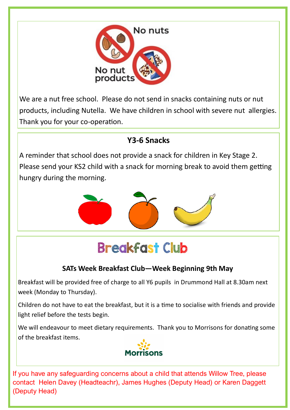

We are a nut free school. Please do not send in snacks containing nuts or nut products, including Nutella. We have children in school with severe nut allergies. Thank you for your co-operation.

# **Y3-6 Snacks**

A reminder that school does not provide a snack for children in Key Stage 2. Please send your KS2 child with a snack for morning break to avoid them getting hungry during the morning.



# **Breakfast Club**

## **SATs Week Breakfast Club—Week Beginning 9th May**

Breakfast will be provided free of charge to all Y6 pupils in Drummond Hall at 8.30am next week (Monday to Thursday).

Children do not have to eat the breakfast, but it is a time to socialise with friends and provide light relief before the tests begin.

We will endeavour to meet dietary requirements. Thank you to Morrisons for donating some of the breakfast items.

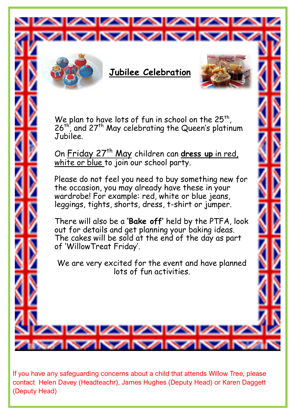



# **Jubilee Celebration**

**ZINAN** 



We plan to have lots of fun in school on the  $25^{th}$ , 26<sup>th</sup>, and 27<sup>th</sup> May celebrating the Queen's platinum Jubilee.

On Friday 27<sup>th</sup> May children can dress up in red, white or blue to join our school party.

Please do not feel you need to buy something new for the occasion, you may already have these in your wardrobe! For example: red, white or blue jeans, leggings, tights, shorts, dress, t-shirt or jumper.

There will also be a **'Bake off'** held by the PTFA, look out for details and get planning your baking ideas. The cakes will be sold at the end of the day as part of 'WillowTreat Friday'.

We are very excited for the event and have planned lots of fun activities.

If you have any safeguarding concerns about a child that attends Willow Tree, please contact Helen Davey (Headteachr), James Hughes (Deputy Head) or Karen Daggett (Deputy Head)

ALAMATAI

**Contract Contract**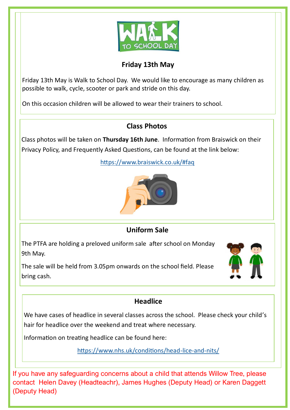

### **Friday 13th May**

Friday 13th May is Walk to School Day. We would like to encourage as many children as possible to walk, cycle, scooter or park and stride on this day.

On this occasion children will be allowed to wear their trainers to school.

## **Class Photos**

Class photos will be taken on **Thursday 16th June**. Information from Braiswick on their Privacy Policy, and Frequently Asked Questions, can be found at the link below:

<https://www.braiswick.co.uk/#faq>



## **Uniform Sale**

The PTFA are holding a preloved uniform sale after school on Monday 9th May.

The sale will be held from 3.05pm onwards on the school field. Please bring cash.



## **Headlice**

We have cases of headlice in several classes across the school. Please check your child's hair for headlice over the weekend and treat where necessary.

Information on treating headlice can be found here:

[https://www.nhs.uk/conditions/head](https://www.nhs.uk/conditions/head-lice-and-nits/)-lice-and-nits/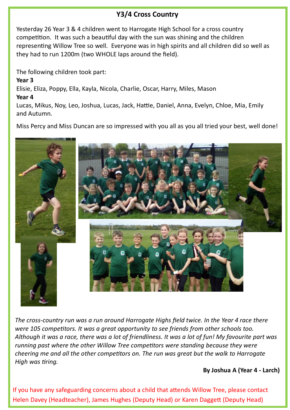### **Y3/4 Cross Country**

Yesterday 26 Year 3 & 4 children went to Harrogate High School for a cross country competition. It was such a beautiful day with the sun was shining and the children representing Willow Tree so well. Everyone was in high spirits and all children did so well as they had to run 1200m (two WHOLE laps around the field).

The following children took part:

**Year 3**

Elisie, Eliza, Poppy, Ella, Kayla, Nicola, Charlie, Oscar, Harry, Miles, Mason

#### **Year 4**

Lucas, Mikus, Noy, Leo, Joshua, Lucas, Jack, Hattie, Daniel, Anna, Evelyn, Chloe, Mia, Emily and Autumn.

Miss Percy and Miss Duncan are so impressed with you all as you all tried your best, well done!



*The cross-country run was a run around Harrogate Highs field twice. In the Year 4 race there were 105 competitors. It was a great opportunity to see friends from other schools too. Although it was a race, there was a lot of friendliness. It was a lot of fun! My favourite part was running past where the other Willow Tree competitors were standing because they were cheering me and all the other competitors on. The run was great but the walk to Harrogate High was tiring.*

#### **By Joshua A (Year 4 - Larch)**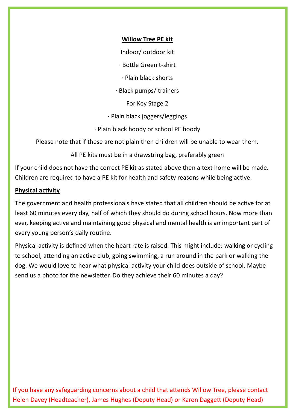#### **Willow Tree PE kit**

Indoor/ outdoor kit

· Bottle Green t-shirt

· Plain black shorts

· Black pumps/ trainers

For Key Stage 2

· Plain black joggers/leggings

· Plain black hoody or school PE hoody

Please note that if these are not plain then children will be unable to wear them.

All PE kits must be in a drawstring bag, preferably green

If your child does not have the correct PE kit as stated above then a text home will be made. Children are required to have a PE kit for health and safety reasons while being active.

#### **Physical activity**

The government and health professionals have stated that all children should be active for at least 60 minutes every day, half of which they should do during school hours. Now more than ever, keeping active and maintaining good physical and mental health is an important part of every young person's daily routine.

Physical activity is defined when the heart rate is raised. This might include: walking or cycling to school, attending an active club, going swimming, a run around in the park or walking the dog. We would love to hear what physical activity your child does outside of school. Maybe send us a photo for the newsletter. Do they achieve their 60 minutes a day?